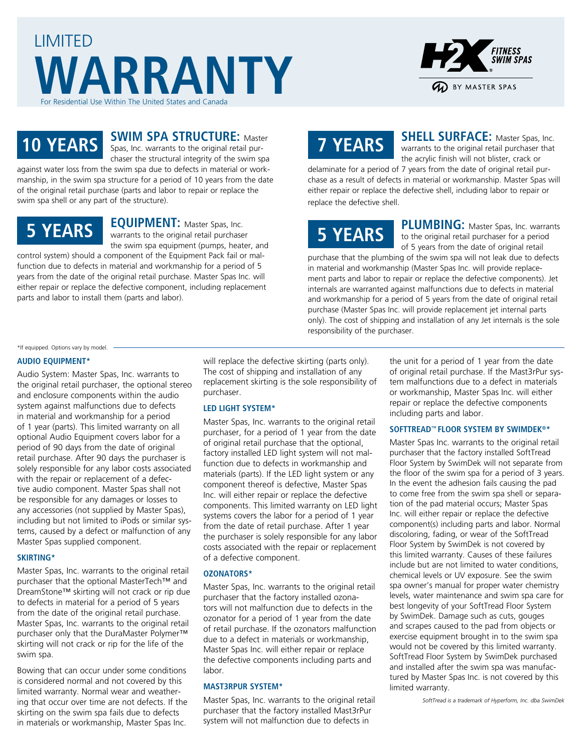



### **SWIM SPA STRUCTURE:** Master

**10 YEARS** Spas, Inc. warrants to the original retail purchaser the structural integrity of the swim spa

against water loss from the swim spa due to defects in material or workmanship, in the swim spa structure for a period of 10 years from the date of the original retail purchase (parts and labor to repair or replace the swim spa shell or any part of the structure).

### **5 YEARS**

**EQUIPMENT:** Master Spas, Inc. warrants to the original retail purchaser the swim spa equipment (pumps, heater, and

control system) should a component of the Equipment Pack fail or malfunction due to defects in material and workmanship for a period of 5 years from the date of the original retail purchase. Master Spas Inc. will either repair or replace the defective component, including replacement parts and labor to install them (parts and labor).

## **7 YEARS**

**SHELL SURFACE:** Master Spas, Inc. warrants to the original retail purchaser that the acrylic finish will not blister, crack or

delaminate for a period of 7 years from the date of original retail purchase as a result of defects in material or workmanship. Master Spas will either repair or replace the defective shell, including labor to repair or replace the defective shell.

# **5 YEARS**

**PLUMBING:** Master Spas, Inc. warrants to the original retail purchaser for a period of 5 years from the date of original retail

purchase that the plumbing of the swim spa will not leak due to defects in material and workmanship (Master Spas Inc. will provide replacement parts and labor to repair or replace the defective components). Jet internals are warranted against malfunctions due to defects in material and workmanship for a period of 5 years from the date of original retail purchase (Master Spas Inc. will provide replacement jet internal parts only). The cost of shipping and installation of any Jet internals is the sole responsibility of the purchaser.

#### \*If equipped. Options vary by model.

### **AUDIO EQUIPMENT\***

Audio System: Master Spas, Inc. warrants to the original retail purchaser, the optional stereo and enclosure components within the audio system against malfunctions due to defects in material and workmanship for a period of 1 year (parts). This limited warranty on all optional Audio Equipment covers labor for a period of 90 days from the date of original retail purchase. After 90 days the purchaser is solely responsible for any labor costs associated with the repair or replacement of a defective audio component. Master Spas shall not be responsible for any damages or losses to any accessories (not supplied by Master Spas), including but not limited to iPods or similar systems, caused by a defect or malfunction of any Master Spas supplied component.

#### **SKIRTING\***

Master Spas, Inc. warrants to the original retail purchaser that the optional MasterTech™ and DreamStone™ skirting will not crack or rip due to defects in material for a period of 5 years from the date of the original retail purchase. Master Spas, Inc. warrants to the original retail purchaser only that the DuraMaster Polymer™ skirting will not crack or rip for the life of the swim spa.

Bowing that can occur under some conditions is considered normal and not covered by this limited warranty. Normal wear and weathering that occur over time are not defects. If the skirting on the swim spa fails due to defects in materials or workmanship, Master Spas Inc.

will replace the defective skirting (parts only). The cost of shipping and installation of any replacement skirting is the sole responsibility of purchaser.

#### **LED LIGHT SYSTEM\***

Master Spas, Inc. warrants to the original retail purchaser, for a period of 1 year from the date of original retail purchase that the optional, factory installed LED light system will not malfunction due to defects in workmanship and materials (parts). If the LED light system or any component thereof is defective, Master Spas Inc. will either repair or replace the defective components. This limited warranty on LED light systems covers the labor for a period of 1 year from the date of retail purchase. After 1 year the purchaser is solely responsible for any labor costs associated with the repair or replacement of a defective component.

### **OZONATORS\***

Master Spas, Inc. warrants to the original retail purchaser that the factory installed ozonators will not malfunction due to defects in the ozonator for a period of 1 year from the date of retail purchase. If the ozonators malfunction due to a defect in materials or workmanship, Master Spas Inc. will either repair or replace the defective components including parts and labor.

#### **MAST3RPUR SYSTEM\***

Master Spas, Inc. warrants to the original retail purchaser that the factory installed Mast3rPur system will not malfunction due to defects in

the unit for a period of 1 year from the date of original retail purchase. If the Mast3rPur system malfunctions due to a defect in materials or workmanship, Master Spas Inc. will either repair or replace the defective components including parts and labor.

#### **SOFTTREAD™ FLOOR SYSTEM BY SWIMDEK®\***

Master Spas Inc. warrants to the original retail purchaser that the factory installed SoftTread Floor System by SwimDek will not separate from the floor of the swim spa for a period of 3 years. In the event the adhesion fails causing the pad to come free from the swim spa shell or separation of the pad material occurs; Master Spas Inc. will either repair or replace the defective component(s) including parts and labor. Normal discoloring, fading, or wear of the SoftTread Floor System by SwimDek is not covered by this limited warranty. Causes of these failures include but are not limited to water conditions, chemical levels or UV exposure. See the swim spa owner's manual for proper water chemistry levels, water maintenance and swim spa care for best longevity of your SoftTread Floor System by SwimDek. Damage such as cuts, gouges and scrapes caused to the pad from objects or exercise equipment brought in to the swim spa would not be covered by this limited warranty. SoftTread Floor System by SwimDek purchased and installed after the swim spa was manufactured by Master Spas Inc. is not covered by this limited warranty.

*SoftTread is a trademark of Hyperform, Inc. dba SwimDek*